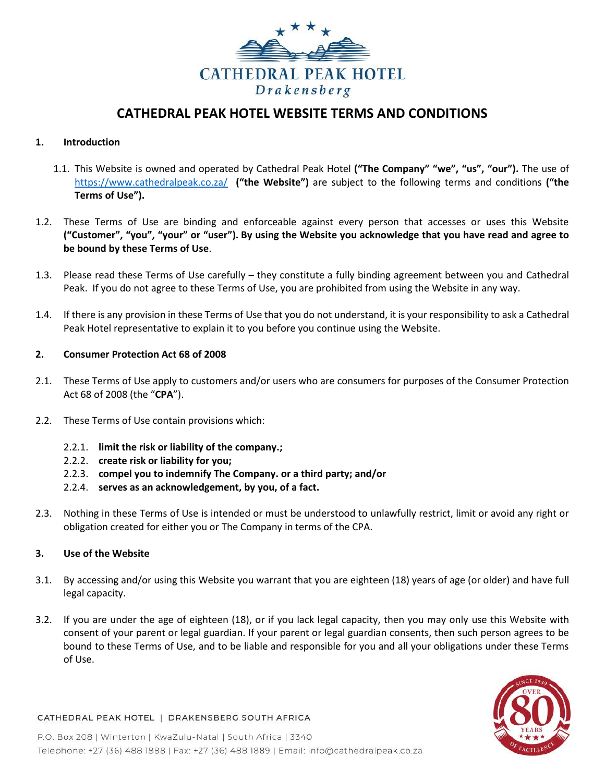

# **CATHEDRAL PEAK HOTEL WEBSITE TERMS AND CONDITIONS**

# **1. Introduction**

- 1.1. This Website is owned and operated by Cathedral Peak Hotel **("The Company" "we", "us", "our").** The use of <https://www.cathedralpeak.co.za/> **("the Website")** are subject to the following terms and conditions **("the Terms of Use").**
- 1.2. These Terms of Use are binding and enforceable against every person that accesses or uses this Website **("Customer", "you", "your" or "user"). By using the Website you acknowledge that you have read and agree to be bound by these Terms of Use**.
- 1.3. Please read these Terms of Use carefully they constitute a fully binding agreement between you and Cathedral Peak. If you do not agree to these Terms of Use, you are prohibited from using the Website in any way.
- 1.4. If there is any provision in these Terms of Use that you do not understand, it is your responsibility to ask a Cathedral Peak Hotel representative to explain it to you before you continue using the Website.

# **2. Consumer Protection Act 68 of 2008**

- 2.1. These Terms of Use apply to customers and/or users who are consumers for purposes of the Consumer Protection Act 68 of 2008 (the "**CPA**").
- 2.2. These Terms of Use contain provisions which:
	- 2.2.1. **limit the risk or liability of the company.;**
	- 2.2.2. **create risk or liability for you;**
	- 2.2.3. **compel you to indemnify The Company. or a third party; and/or**
	- 2.2.4. **serves as an acknowledgement, by you, of a fact.**
- 2.3. Nothing in these Terms of Use is intended or must be understood to unlawfully restrict, limit or avoid any right or obligation created for either you or The Company in terms of the CPA.

# **3. Use of the Website**

- 3.1. By accessing and/or using this Website you warrant that you are eighteen (18) years of age (or older) and have full legal capacity.
- 3.2. If you are under the age of eighteen (18), or if you lack legal capacity, then you may only use this Website with consent of your parent or legal guardian. If your parent or legal guardian consents, then such person agrees to be bound to these Terms of Use, and to be liable and responsible for you and all your obligations under these Terms of Use.



#### CATHEDRAL PEAK HOTEL | DRAKENSBERG SOUTH AFRICA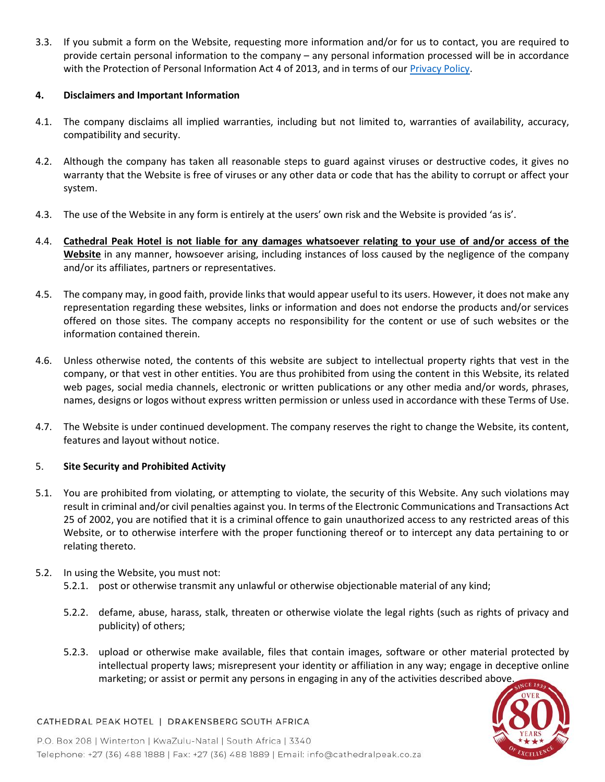3.3. If you submit a form on the Website, requesting more information and/or for us to contact, you are required to provide certain personal information to the company – any personal information processed will be in accordance with the Protection of Personal Information Act 4 of 2013, and in terms of our *Privacy Policy*.

# **4. Disclaimers and Important Information**

- 4.1. The company disclaims all implied warranties, including but not limited to, warranties of availability, accuracy, compatibility and security.
- 4.2. Although the company has taken all reasonable steps to guard against viruses or destructive codes, it gives no warranty that the Website is free of viruses or any other data or code that has the ability to corrupt or affect your system.
- 4.3. The use of the Website in any form is entirely at the users' own risk and the Website is provided 'as is'.
- 4.4. **Cathedral Peak Hotel is not liable for any damages whatsoever relating to your use of and/or access of the Website** in any manner, howsoever arising, including instances of loss caused by the negligence of the company and/or its affiliates, partners or representatives.
- 4.5. The company may, in good faith, provide links that would appear useful to its users. However, it does not make any representation regarding these websites, links or information and does not endorse the products and/or services offered on those sites. The company accepts no responsibility for the content or use of such websites or the information contained therein.
- 4.6. Unless otherwise noted, the contents of this website are subject to intellectual property rights that vest in the company, or that vest in other entities. You are thus prohibited from using the content in this Website, its related web pages, social media channels, electronic or written publications or any other media and/or words, phrases, names, designs or logos without express written permission or unless used in accordance with these Terms of Use.
- 4.7. The Website is under continued development. The company reserves the right to change the Website, its content, features and layout without notice.

# 5. **Site Security and Prohibited Activity**

- 5.1. You are prohibited from violating, or attempting to violate, the security of this Website. Any such violations may result in criminal and/or civil penalties against you. In terms of the Electronic Communications and Transactions Act 25 of 2002, you are notified that it is a criminal offence to gain unauthorized access to any restricted areas of this Website, or to otherwise interfere with the proper functioning thereof or to intercept any data pertaining to or relating thereto.
- 5.2. In using the Website, you must not:
	- 5.2.1. post or otherwise transmit any unlawful or otherwise objectionable material of any kind;
	- 5.2.2. defame, abuse, harass, stalk, threaten or otherwise violate the legal rights (such as rights of privacy and publicity) of others;
	- 5.2.3. upload or otherwise make available, files that contain images, software or other material protected by intellectual property laws; misrepresent your identity or affiliation in any way; engage in deceptive online marketing; or assist or permit any persons in engaging in any of the activities described above.



# CATHEDRAL PEAK HOTEL | DRAKENSBERG SOUTH AFRICA